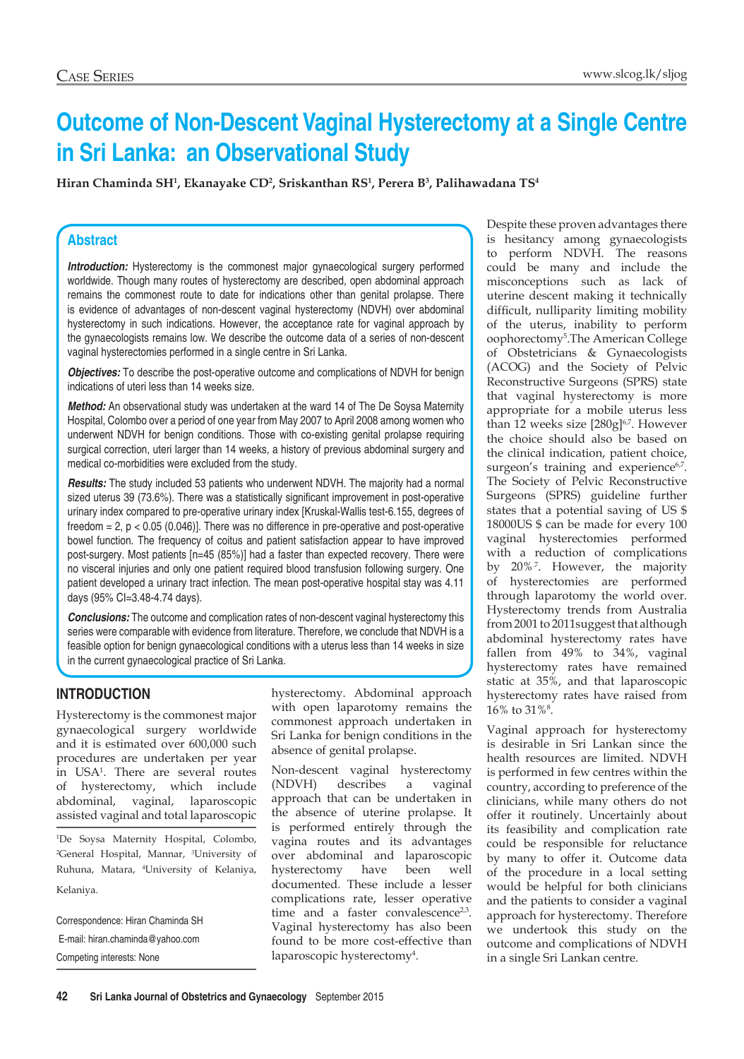# **Outcome of Non-Descent Vaginal Hysterectomy at a Single Centre in Sri Lanka: an Observational Study**

**Hiran Chaminda SH1 , Ekanayake CD2 , Sriskanthan RS1 , Perera B3 , Palihawadana TS4**

## **Abstract**

**Introduction:** Hysterectomy is the commonest major gynaecological surgery performed worldwide. Though many routes of hysterectomy are described, open abdominal approach remains the commonest route to date for indications other than genital prolapse. There is evidence of advantages of non-descent vaginal hysterectomy (NDVH) over abdominal hysterectomy in such indications. However, the acceptance rate for vaginal approach by the gynaecologists remains low. We describe the outcome data of a series of non-descent vaginal hysterectomies performed in a single centre in Sri Lanka.

*Objectives:* To describe the post-operative outcome and complications of NDVH for benign indications of uteri less than 14 weeks size.

*Method:* An observational study was undertaken at the ward 14 of The De Soysa Maternity Hospital, Colombo over a period of one year from May 2007 to April 2008 among women who underwent NDVH for benign conditions. Those with co-existing genital prolapse requiring surgical correction, uteri larger than 14 weeks, a history of previous abdominal surgery and medical co-morbidities were excluded from the study.

*Results:* The study included 53 patients who underwent NDVH. The majority had a normal sized uterus 39 (73.6%). There was a statistically significant improvement in post-operative urinary index compared to pre-operative urinary index [Kruskal-Wallis test-6.155, degrees of freedom  $= 2$ ,  $p < 0.05$  (0.046)]. There was no difference in pre-operative and post-operative bowel function. The frequency of coitus and patient satisfaction appear to have improved post-surgery. Most patients [n=45 (85%)] had a faster than expected recovery. There were no visceral injuries and only one patient required blood transfusion following surgery. One patient developed a urinary tract infection. The mean post-operative hospital stay was 4.11 days (95% CI=3.48-4.74 days).

*Conclusions:* The outcome and complication rates of non-descent vaginal hysterectomy this series were comparable with evidence from literature. Therefore, we conclude that NDVH is a feasible option for benign gynaecological conditions with a uterus less than 14 weeks in size in the current gynaecological practice of Sri Lanka.

## **Introduction**

Hysterectomy is the commonest major gynaecological surgery worldwide and it is estimated over 600,000 such procedures are undertaken per year in USA1 . There are several routes of hysterectomy, which include abdominal, vaginal, laparoscopic assisted vaginal and total laparoscopic

1 De Soysa Maternity Hospital, Colombo, 2 General Hospital, Mannar, 3 University of Ruhuna, Matara, 4 University of Kelaniya, Kelaniya.

Correspondence: Hiran Chaminda SH E-mail: hiran.chaminda@yahoo.com Competing interests: None

hysterectomy. Abdominal approach with open laparotomy remains the commonest approach undertaken in Sri Lanka for benign conditions in the absence of genital prolapse.

Non-descent vaginal hysterectomy (NDVH) describes a vaginal approach that can be undertaken in the absence of uterine prolapse. It is performed entirely through the vagina routes and its advantages over abdominal and laparoscopic hysterectomy have been well documented. These include a lesser complications rate, lesser operative time and a faster convalescence<sup>2,3</sup>. Vaginal hysterectomy has also been found to be more cost-effective than laparoscopic hysterectomy<sup>4</sup>.

Despite these proven advantages there is hesitancy among gynaecologists to perform NDVH. The reasons could be many and include the misconceptions such as lack of uterine descent making it technically difficult, nulliparity limiting mobility of the uterus, inability to perform oophorectomy5 .The American College of Obstetricians & Gynaecologists (ACOG) and the Society of Pelvic Reconstructive Surgeons (SPRS) state that vaginal hysterectomy is more appropriate for a mobile uterus less than 12 weeks size  $[280g]^{6,7}$ . However the choice should also be based on the clinical indication, patient choice, surgeon's training and experience<sup>6,7</sup>. The Society of Pelvic Reconstructive Surgeons (SPRS) guideline further states that a potential saving of US \$ 18000US \$ can be made for every 100 vaginal hysterectomies performed with a reduction of complications by 20%<sup>7</sup>. However, the majority of hysterectomies are performed through laparotomy the world over. Hysterectomy trends from Australia from 2001 to 2011suggest that although abdominal hysterectomy rates have fallen from 49% to 34%, vaginal hysterectomy rates have remained static at 35%, and that laparoscopic hysterectomy rates have raised from  $16\%$  to  $31\%^{8}$ .

Vaginal approach for hysterectomy is desirable in Sri Lankan since the health resources are limited. NDVH is performed in few centres within the country, according to preference of the clinicians, while many others do not offer it routinely. Uncertainly about its feasibility and complication rate could be responsible for reluctance by many to offer it. Outcome data of the procedure in a local setting would be helpful for both clinicians and the patients to consider a vaginal approach for hysterectomy. Therefore we undertook this study on the outcome and complications of NDVH in a single Sri Lankan centre.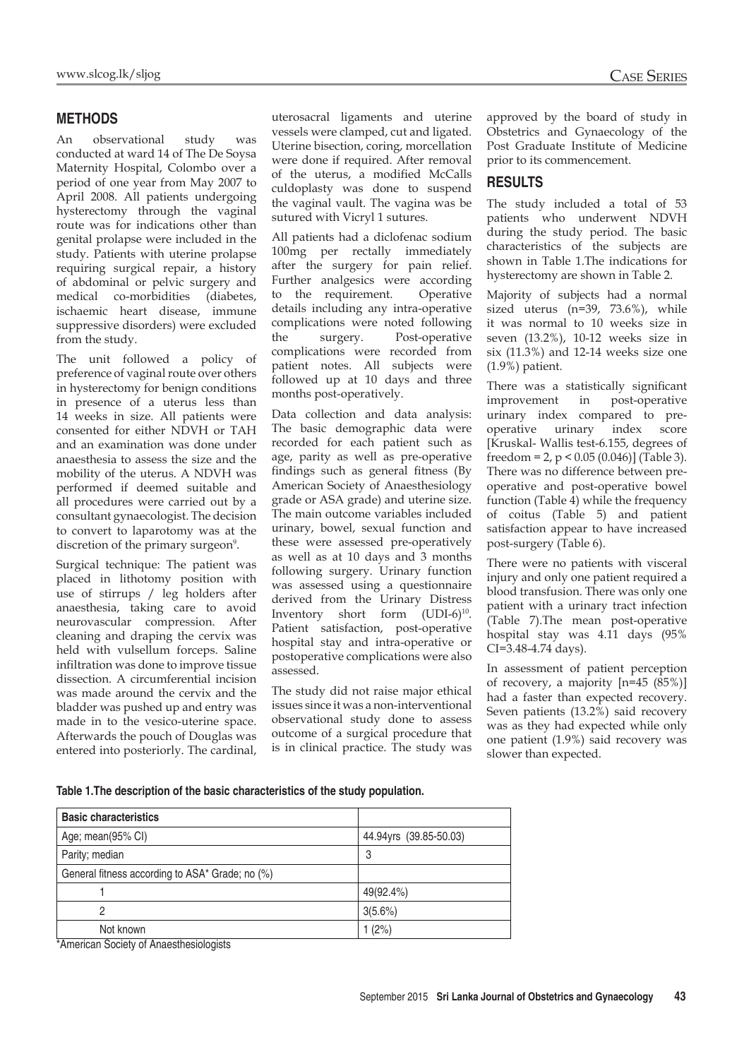## **MethodS**

An observational study was conducted at ward 14 of The De Soysa Maternity Hospital, Colombo over a period of one year from May 2007 to April 2008. All patients undergoing hysterectomy through the vaginal route was for indications other than genital prolapse were included in the study. Patients with uterine prolapse requiring surgical repair, a history of abdominal or pelvic surgery and medical co-morbidities (diabetes, ischaemic heart disease, immune suppressive disorders) were excluded from the study.

The unit followed a policy of preference of vaginal route over others in hysterectomy for benign conditions in presence of a uterus less than 14 weeks in size. All patients were consented for either NDVH or TAH and an examination was done under anaesthesia to assess the size and the mobility of the uterus. A NDVH was performed if deemed suitable and all procedures were carried out by a consultant gynaecologist. The decision to convert to laparotomy was at the discretion of the primary surgeon<sup>9</sup>.

Surgical technique: The patient was placed in lithotomy position with use of stirrups / leg holders after anaesthesia, taking care to avoid neurovascular compression. After cleaning and draping the cervix was held with vulsellum forceps. Saline infiltration was done to improve tissue dissection. A circumferential incision was made around the cervix and the bladder was pushed up and entry was made in to the vesico-uterine space. Afterwards the pouch of Douglas was entered into posteriorly. The cardinal, uterosacral ligaments and uterine vessels were clamped, cut and ligated. Uterine bisection, coring, morcellation were done if required. After removal of the uterus, a modified McCalls culdoplasty was done to suspend the vaginal vault. The vagina was be sutured with Vicryl 1 sutures.

All patients had a diclofenac sodium 100mg per rectally immediately after the surgery for pain relief. Further analgesics were according to the requirement. Operative details including any intra-operative complications were noted following the surgery. Post-operative complications were recorded from patient notes. All subjects were followed up at 10 days and three months post-operatively.

Data collection and data analysis: The basic demographic data were recorded for each patient such as age, parity as well as pre-operative findings such as general fitness (By American Society of Anaesthesiology grade or ASA grade) and uterine size. The main outcome variables included urinary, bowel, sexual function and these were assessed pre-operatively as well as at 10 days and 3 months following surgery. Urinary function was assessed using a questionnaire derived from the Urinary Distress Inventory short form  $(UDI-6)^{10}$ . Patient satisfaction, post-operative hospital stay and intra-operative or postoperative complications were also assessed.

The study did not raise major ethical issues since it was a non-interventional observational study done to assess outcome of a surgical procedure that is in clinical practice. The study was approved by the board of study in Obstetrics and Gynaecology of the Post Graduate Institute of Medicine prior to its commencement.

## **Results**

The study included a total of 53 patients who underwent NDVH during the study period. The basic characteristics of the subjects are shown in Table 1.The indications for hysterectomy are shown in Table 2.

Majority of subjects had a normal sized uterus (n=39, 73.6%), while it was normal to 10 weeks size in seven (13.2%), 10-12 weeks size in six (11.3%) and 12-14 weeks size one (1.9%) patient.

There was a statistically significant improvement in post-operative urinary index compared to preoperative urinary index score [Kruskal- Wallis test-6.155, degrees of freedom = 2,  $p < 0.05$  (0.046)] (Table 3). There was no difference between preoperative and post-operative bowel function (Table 4) while the frequency of coitus (Table 5) and patient satisfaction appear to have increased post-surgery (Table 6).

There were no patients with visceral injury and only one patient required a blood transfusion. There was only one patient with a urinary tract infection (Table 7).The mean post-operative hospital stay was 4.11 days (95% CI=3.48-4.74 days).

In assessment of patient perception of recovery, a majority [n=45 (85%)] had a faster than expected recovery. Seven patients (13.2%) said recovery was as they had expected while only one patient (1.9%) said recovery was slower than expected.

**Table 1.The description of the basic characteristics of the study population.**

| <b>Basic characteristics</b>                    |                        |
|-------------------------------------------------|------------------------|
| Age; mean(95% CI)                               | 44.94yrs (39.85-50.03) |
| Parity; median                                  | 3                      |
| General fitness according to ASA* Grade; no (%) |                        |
|                                                 | 49(92.4%)              |
| 2                                               | 3(5.6%)                |
| Not known                                       | 1(2%)                  |
| *American Coojety of Angoothesislagists         |                        |

\*American Society of Anaesthesiologists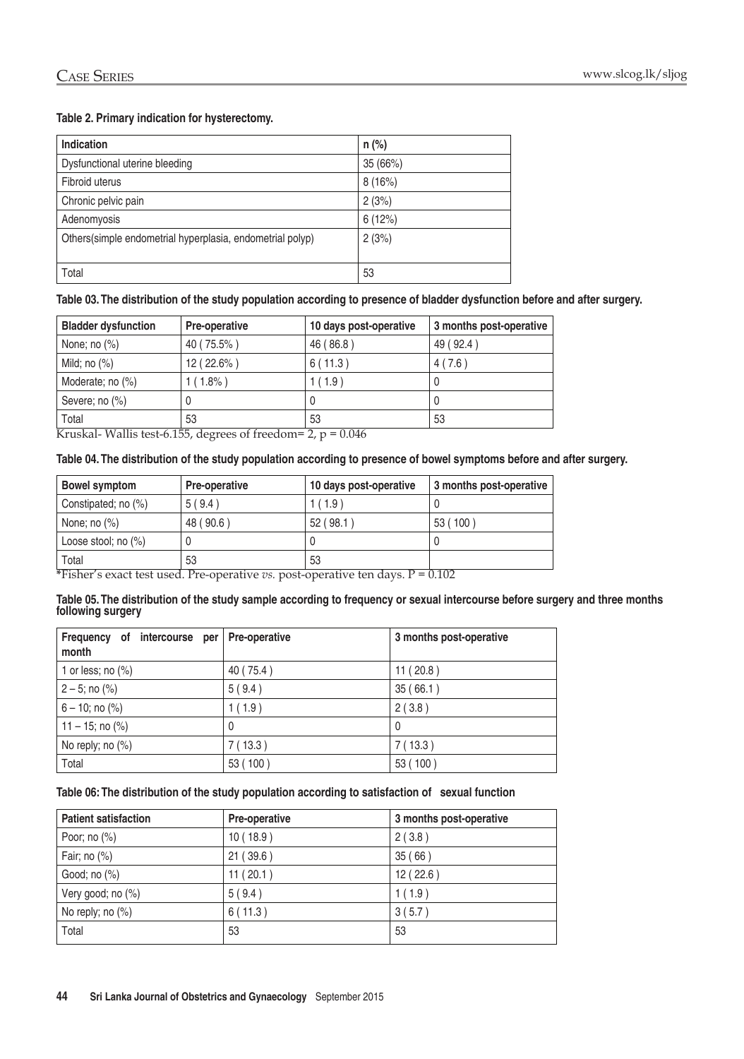#### **Table 2. Primary indication for hysterectomy.**

| <b>Indication</b>                                         | $n$ (%)  |
|-----------------------------------------------------------|----------|
| Dysfunctional uterine bleeding                            | 35 (66%) |
| Fibroid uterus                                            | 8(16%)   |
| Chronic pelvic pain                                       | 2(3%)    |
| Adenomyosis                                               | 6(12%)   |
| Others(simple endometrial hyperplasia, endometrial polyp) | 2(3%)    |
|                                                           |          |
| Total                                                     | 53       |

**Table 03. The distribution of the study population according to presence of bladder dysfunction before and after surgery.**

| <b>Bladder dysfunction</b>            | <b>Pre-operative</b> | 10 days post-operative | 3 months post-operative |
|---------------------------------------|----------------------|------------------------|-------------------------|
| None; no $(\%)$                       | 40 (75.5%)           | 46 (86.8)              | 49 (92.4)               |
| Mild; no $(\%)$                       | $12(22.6\%)$         | 6(11.3)                | 4(7.6)                  |
| Moderate; no (%)                      | $1(1.8\%)$           | (1.9)                  | υ                       |
| Severe; no $(\%)$                     | U                    | 0                      | U                       |
| Total<br>$TAT$ 11: $T = TAT$<br>$T$ / | 53                   | 53<br>0.011            | 53                      |

Kruskal- Wallis test-6.155, degrees of freedom=  $2$ , p = 0.046

#### **Table 04. The distribution of the study population according to presence of bowel symptoms before and after surgery.**

| <b>Pre-operative</b> | 10 days post-operative | 3 months post-operative                                                              |
|----------------------|------------------------|--------------------------------------------------------------------------------------|
| 5(9.4)               | 1(1.9)                 |                                                                                      |
| 48 (90.6)            | 52(98.1)               | 53 (100)                                                                             |
|                      |                        |                                                                                      |
| 53                   | 53                     |                                                                                      |
|                      |                        | $*E:1/2$ that $1$ D <sub>is</sub> an extra $$ and $$ and $$ the fact $1$ $D = 0.102$ |

**\***Fisher's exact test used. Pre-operative *vs.* post-operative ten days. P = 0.102

#### **Table 05. The distribution of the study sample according to frequency or sexual intercourse before surgery and three months following surgery**

| Frequency of intercourse per Pre-operative<br>month |           | 3 months post-operative |
|-----------------------------------------------------|-----------|-------------------------|
| 1 or less; no $(\%)$                                | 40 (75.4) | 11(20.8)                |
| $2 - 5$ ; no $(\%)$                                 | 5(9.4)    | 35(66.1)                |
| $6 - 10$ ; no $(\%)$                                | 1(1.9)    | 2(3.8)                  |
| $11 - 15$ ; no $(\%)$                               | 0         | 0                       |
| No reply; no (%)                                    | 7(13.3)   | 7(13.3)                 |
| Total                                               | 53 (100)  | 53 (100)                |

#### **Table 06: The distribution of the study population according to satisfaction of sexual function**

| <b>Patient satisfaction</b> | <b>Pre-operative</b> | 3 months post-operative |
|-----------------------------|----------------------|-------------------------|
| Poor; no $(\%)$             | 10(18.9)             | 2(3.8)                  |
| Fair; no $(\%)$             | 21(39.6)             | 35(66)                  |
| Good; no (%)                | 11(20.1)             | 12(22.6)                |
| Very good; no (%)           | 5(9.4)               | 1(1.9)                  |
| No reply; no $(\%)$         | 6(11.3)              | 3(5.7)                  |
| Total                       | 53                   | 53                      |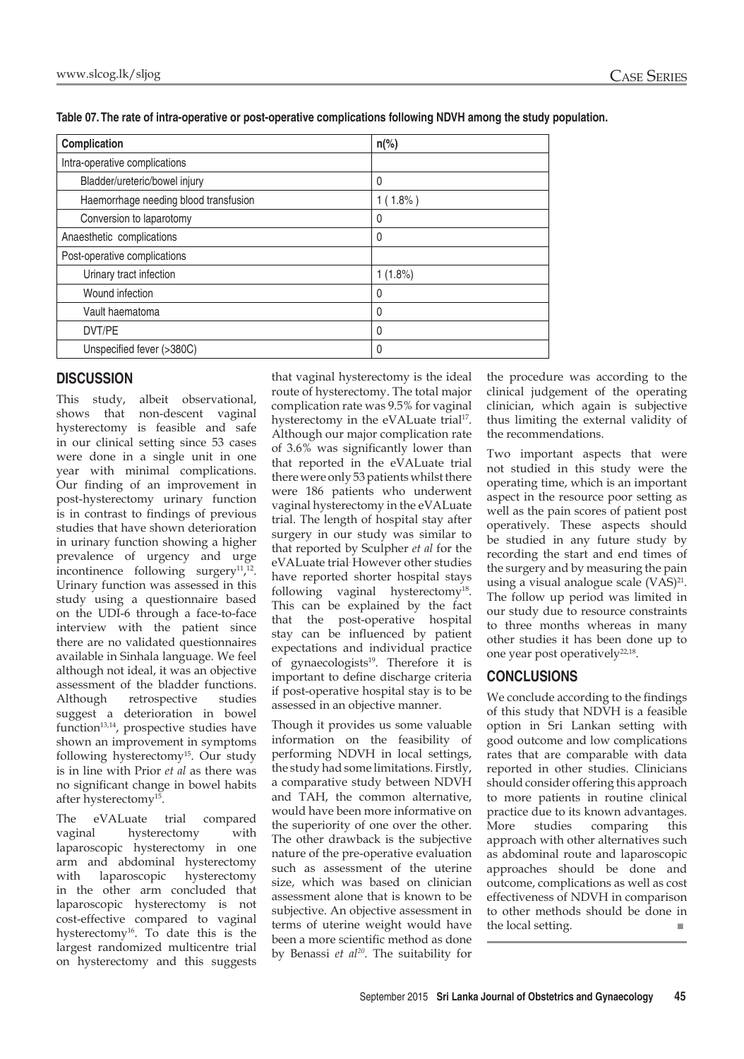| Complication                          | $n\frac{6}{6}$ |  |
|---------------------------------------|----------------|--|
| Intra-operative complications         |                |  |
| Bladder/ureteric/bowel injury         | 0              |  |
| Haemorrhage needing blood transfusion | $1(1.8\%)$     |  |
| Conversion to laparotomy              | 0              |  |
| Anaesthetic complications             | 0              |  |
| Post-operative complications          |                |  |
| Urinary tract infection               | $1(1.8\%)$     |  |
| Wound infection                       | 0              |  |
| Vault haematoma                       | 0              |  |
| DVT/PE                                | 0              |  |
| Unspecified fever (>380C)             | 0              |  |

**Table 07. The rate of intra-operative or post-operative complications following NDVH among the study population.**

## **Discussion**

This study, albeit observational, shows that non-descent vaginal hysterectomy is feasible and safe in our clinical setting since 53 cases were done in a single unit in one year with minimal complications. Our finding of an improvement in post-hysterectomy urinary function is in contrast to findings of previous studies that have shown deterioration in urinary function showing a higher prevalence of urgency and urge incontinence following surgery<sup>11</sup>,<sup>12</sup>. Urinary function was assessed in this study using a questionnaire based on the UDI-6 through a face-to-face interview with the patient since there are no validated questionnaires available in Sinhala language. We feel although not ideal, it was an objective assessment of the bladder functions. Although retrospective studies suggest a deterioration in bowel  $function<sup>13,14</sup>$ , prospective studies have shown an improvement in symptoms following hysterectomy<sup>15</sup>. Our study is in line with Prior *et al* as there was no significant change in bowel habits after hysterectomy15.

The eVALuate trial compared vaginal hysterectomy with laparoscopic hysterectomy in one arm and abdominal hysterectomy<br>with laparoscopic hysterectomy laparoscopic hysterectomy in the other arm concluded that laparoscopic hysterectomy is not cost-effective compared to vaginal hysterectomy<sup>16</sup>. To date this is the largest randomized multicentre trial on hysterectomy and this suggests

that vaginal hysterectomy is the ideal route of hysterectomy. The total major complication rate was 9.5% for vaginal hysterectomy in the eVALuate trial<sup>17</sup>. Although our major complication rate of 3.6% was significantly lower than that reported in the eVALuate trial there were only 53 patients whilst there were 186 patients who underwent vaginal hysterectomy in the eVALuate trial. The length of hospital stay after surgery in our study was similar to that reported by Sculpher *et al* for the eVALuate trial. However other studies have reported shorter hospital stays following vaginal hysterectomy<sup>18</sup>. This can be explained by the fact that the post-operative hospital stay can be influenced by patient expectations and individual practice of gynaecologists<sup>19</sup>. Therefore it is important to define discharge criteria if post-operative hospital stay is to be assessed in an objective manner.

Though it provides us some valuable information on the feasibility of performing NDVH in local settings, the study had some limitations. Firstly, a comparative study between NDVH and TAH, the common alternative, would have been more informative on the superiority of one over the other. The other drawback is the subjective nature of the pre-operative evaluation such as assessment of the uterine size, which was based on clinician assessment alone that is known to be subjective. An objective assessment in terms of uterine weight would have been a more scientific method as done by Benassi *et al20*. The suitability for

the procedure was according to the clinical judgement of the operating clinician, which again is subjective thus limiting the external validity of the recommendations.

Two important aspects that were not studied in this study were the operating time, which is an important aspect in the resource poor setting as well as the pain scores of patient post operatively. These aspects should be studied in any future study by recording the start and end times of the surgery and by measuring the pain using a visual analogue scale (VAS)<sup>21</sup>. The follow up period was limited in our study due to resource constraints to three months whereas in many other studies it has been done up to one year post operatively $22,18$ .

## **Conclusions**

We conclude according to the findings of this study that NDVH is a feasible option in Sri Lankan setting with good outcome and low complications rates that are comparable with data reported in other studies. Clinicians should consider offering this approach to more patients in routine clinical practice due to its known advantages. More studies comparing this approach with other alternatives such as abdominal route and laparoscopic approaches should be done and outcome, complications as well as cost effectiveness of NDVH in comparison to other methods should be done in the local setting. ■